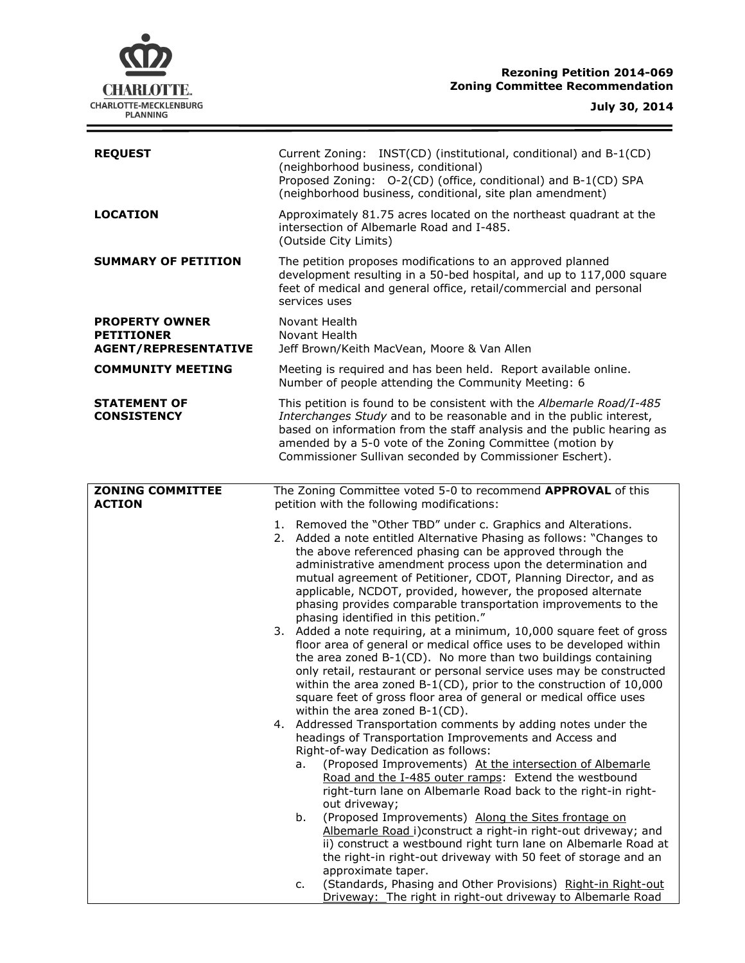# **CHARLOTTE.** CHARLOTTE-MECKLENBURG<br>PLANNING

 $\equiv$ 

| <b>REQUEST</b>                                                            | Current Zoning: INST(CD) (institutional, conditional) and B-1(CD)<br>(neighborhood business, conditional)<br>Proposed Zoning: O-2(CD) (office, conditional) and B-1(CD) SPA<br>(neighborhood business, conditional, site plan amendment)                                                                                                                                                                                                                                                                                                                                                                                                                                                                                                                                                                                                                                                                                                                                                                                                                                                                                                                                                                                                                                                                                                                                                                                                                                                                                                                                                                                                                                                                                                                                                          |  |  |
|---------------------------------------------------------------------------|---------------------------------------------------------------------------------------------------------------------------------------------------------------------------------------------------------------------------------------------------------------------------------------------------------------------------------------------------------------------------------------------------------------------------------------------------------------------------------------------------------------------------------------------------------------------------------------------------------------------------------------------------------------------------------------------------------------------------------------------------------------------------------------------------------------------------------------------------------------------------------------------------------------------------------------------------------------------------------------------------------------------------------------------------------------------------------------------------------------------------------------------------------------------------------------------------------------------------------------------------------------------------------------------------------------------------------------------------------------------------------------------------------------------------------------------------------------------------------------------------------------------------------------------------------------------------------------------------------------------------------------------------------------------------------------------------------------------------------------------------------------------------------------------------|--|--|
| <b>LOCATION</b>                                                           | Approximately 81.75 acres located on the northeast quadrant at the<br>intersection of Albemarle Road and I-485.<br>(Outside City Limits)                                                                                                                                                                                                                                                                                                                                                                                                                                                                                                                                                                                                                                                                                                                                                                                                                                                                                                                                                                                                                                                                                                                                                                                                                                                                                                                                                                                                                                                                                                                                                                                                                                                          |  |  |
| <b>SUMMARY OF PETITION</b>                                                | The petition proposes modifications to an approved planned<br>development resulting in a 50-bed hospital, and up to 117,000 square<br>feet of medical and general office, retail/commercial and personal<br>services uses                                                                                                                                                                                                                                                                                                                                                                                                                                                                                                                                                                                                                                                                                                                                                                                                                                                                                                                                                                                                                                                                                                                                                                                                                                                                                                                                                                                                                                                                                                                                                                         |  |  |
| <b>PROPERTY OWNER</b><br><b>PETITIONER</b><br><b>AGENT/REPRESENTATIVE</b> | Novant Health<br>Novant Health<br>Jeff Brown/Keith MacVean, Moore & Van Allen                                                                                                                                                                                                                                                                                                                                                                                                                                                                                                                                                                                                                                                                                                                                                                                                                                                                                                                                                                                                                                                                                                                                                                                                                                                                                                                                                                                                                                                                                                                                                                                                                                                                                                                     |  |  |
| <b>COMMUNITY MEETING</b>                                                  | Meeting is required and has been held. Report available online.<br>Number of people attending the Community Meeting: 6                                                                                                                                                                                                                                                                                                                                                                                                                                                                                                                                                                                                                                                                                                                                                                                                                                                                                                                                                                                                                                                                                                                                                                                                                                                                                                                                                                                                                                                                                                                                                                                                                                                                            |  |  |
| <b>STATEMENT OF</b><br><b>CONSISTENCY</b>                                 | This petition is found to be consistent with the Albemarle Road/I-485<br>Interchanges Study and to be reasonable and in the public interest,<br>based on information from the staff analysis and the public hearing as<br>amended by a 5-0 vote of the Zoning Committee (motion by<br>Commissioner Sullivan seconded by Commissioner Eschert).                                                                                                                                                                                                                                                                                                                                                                                                                                                                                                                                                                                                                                                                                                                                                                                                                                                                                                                                                                                                                                                                                                                                                                                                                                                                                                                                                                                                                                                    |  |  |
| <b>ZONING COMMITTEE</b><br><b>ACTION</b>                                  | The Zoning Committee voted 5-0 to recommend APPROVAL of this<br>petition with the following modifications:                                                                                                                                                                                                                                                                                                                                                                                                                                                                                                                                                                                                                                                                                                                                                                                                                                                                                                                                                                                                                                                                                                                                                                                                                                                                                                                                                                                                                                                                                                                                                                                                                                                                                        |  |  |
|                                                                           | 1. Removed the "Other TBD" under c. Graphics and Alterations.<br>2. Added a note entitled Alternative Phasing as follows: "Changes to<br>the above referenced phasing can be approved through the<br>administrative amendment process upon the determination and<br>mutual agreement of Petitioner, CDOT, Planning Director, and as<br>applicable, NCDOT, provided, however, the proposed alternate<br>phasing provides comparable transportation improvements to the<br>phasing identified in this petition."<br>3. Added a note requiring, at a minimum, 10,000 square feet of gross<br>floor area of general or medical office uses to be developed within<br>the area zoned B-1(CD). No more than two buildings containing<br>only retail, restaurant or personal service uses may be constructed<br>within the area zoned $B-1(CD)$ , prior to the construction of 10,000<br>square feet of gross floor area of general or medical office uses<br>within the area zoned B-1(CD).<br>4. Addressed Transportation comments by adding notes under the<br>headings of Transportation Improvements and Access and<br>Right-of-way Dedication as follows:<br>(Proposed Improvements) At the intersection of Albemarle<br>a.<br>Road and the I-485 outer ramps: Extend the westbound<br>right-turn lane on Albemarle Road back to the right-in right-<br>out driveway;<br>(Proposed Improvements) Along the Sites frontage on<br>b.<br>Albemarle Road i)construct a right-in right-out driveway; and<br>ii) construct a westbound right turn lane on Albemarle Road at<br>the right-in right-out driveway with 50 feet of storage and an<br>approximate taper.<br>(Standards, Phasing and Other Provisions) Right-in Right-out<br>c.<br>Driveway: The right in right-out driveway to Albemarle Road |  |  |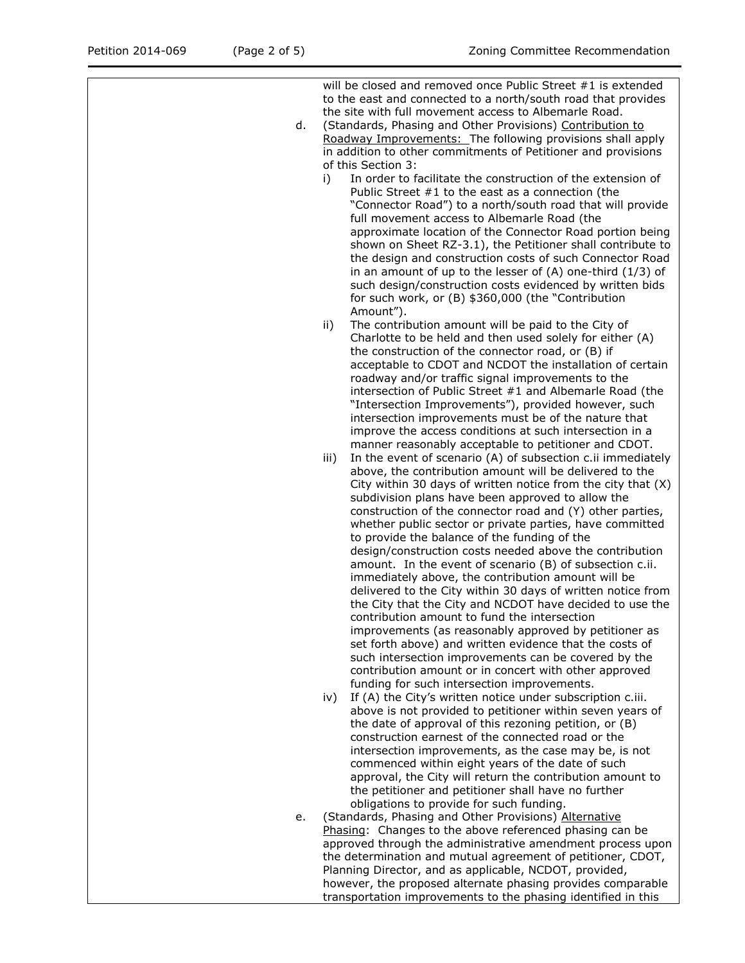will be closed and removed once Public Street #1 is extended to the east and connected to a north/south road that provides the site with full movement access to Albemarle Road.

- d. (Standards, Phasing and Other Provisions) Contribution to Roadway Improvements: The following provisions shall apply in addition to other commitments of Petitioner and provisions of this Section 3:
	- i) In order to facilitate the construction of the extension of Public Street #1 to the east as a connection (the "Connector Road") to a north/south road that will provide full movement access to Albemarle Road (the approximate location of the Connector Road portion being shown on Sheet RZ-3.1), the Petitioner shall contribute to the design and construction costs of such Connector Road in an amount of up to the lesser of (A) one-third (1/3) of such design/construction costs evidenced by written bids for such work, or (B) \$360,000 (the "Contribution Amount").
	- ii) The contribution amount will be paid to the City of Charlotte to be held and then used solely for either (A) the construction of the connector road, or (B) if acceptable to CDOT and NCDOT the installation of certain roadway and/or traffic signal improvements to the intersection of Public Street #1 and Albemarle Road (the "Intersection Improvements"), provided however, such intersection improvements must be of the nature that improve the access conditions at such intersection in a manner reasonably acceptable to petitioner and CDOT.
	- iii) In the event of scenario (A) of subsection c.ii immediately above, the contribution amount will be delivered to the City within 30 days of written notice from the city that (X) subdivision plans have been approved to allow the construction of the connector road and (Y) other parties, whether public sector or private parties, have committed to provide the balance of the funding of the design/construction costs needed above the contribution amount. In the event of scenario (B) of subsection c.ii. immediately above, the contribution amount will be delivered to the City within 30 days of written notice from the City that the City and NCDOT have decided to use the contribution amount to fund the intersection improvements (as reasonably approved by petitioner as set forth above) and written evidence that the costs of such intersection improvements can be covered by the contribution amount or in concert with other approved funding for such intersection improvements.
	- iv) If (A) the City's written notice under subscription c.iii. above is not provided to petitioner within seven years of the date of approval of this rezoning petition, or (B) construction earnest of the connected road or the intersection improvements, as the case may be, is not commenced within eight years of the date of such approval, the City will return the contribution amount to the petitioner and petitioner shall have no further obligations to provide for such funding.
- e. (Standards, Phasing and Other Provisions) Alternative Phasing: Changes to the above referenced phasing can be approved through the administrative amendment process upon the determination and mutual agreement of petitioner, CDOT, Planning Director, and as applicable, NCDOT, provided, however, the proposed alternate phasing provides comparable transportation improvements to the phasing identified in this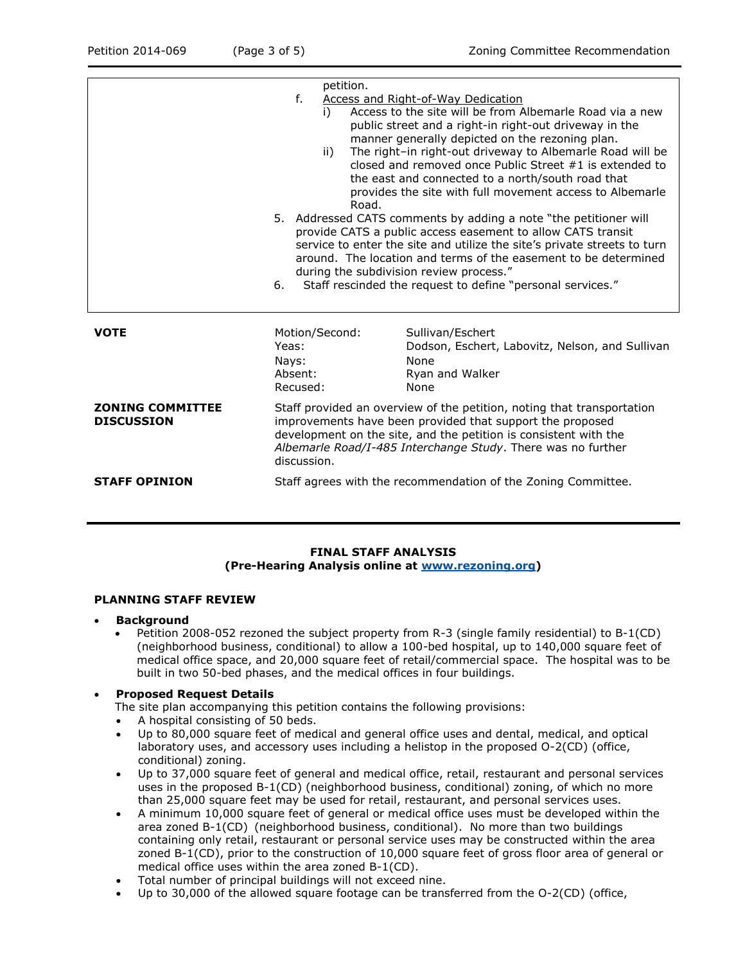|                                              | petition.<br>$f_{-}$<br>i)<br>ii)<br>Road.<br>6.                                                                                                                                                                                                                                       | <b>Access and Right-of-Way Dedication</b><br>Access to the site will be from Albemarle Road via a new<br>public street and a right-in right-out driveway in the<br>manner generally depicted on the rezoning plan.<br>The right-in right-out driveway to Albemarle Road will be<br>closed and removed once Public Street #1 is extended to<br>the east and connected to a north/south road that<br>provides the site with full movement access to Albemarle<br>5. Addressed CATS comments by adding a note "the petitioner will<br>provide CATS a public access easement to allow CATS transit<br>service to enter the site and utilize the site's private streets to turn<br>around. The location and terms of the easement to be determined<br>during the subdivision review process."<br>Staff rescinded the request to define "personal services." |  |
|----------------------------------------------|----------------------------------------------------------------------------------------------------------------------------------------------------------------------------------------------------------------------------------------------------------------------------------------|--------------------------------------------------------------------------------------------------------------------------------------------------------------------------------------------------------------------------------------------------------------------------------------------------------------------------------------------------------------------------------------------------------------------------------------------------------------------------------------------------------------------------------------------------------------------------------------------------------------------------------------------------------------------------------------------------------------------------------------------------------------------------------------------------------------------------------------------------------|--|
| <b>VOTE</b>                                  | Motion/Second:<br>Yeas:<br>Nays:<br>Absent:<br>Recused:                                                                                                                                                                                                                                | Sullivan/Eschert<br>Dodson, Eschert, Labovitz, Nelson, and Sullivan<br><b>None</b><br>Ryan and Walker<br>None                                                                                                                                                                                                                                                                                                                                                                                                                                                                                                                                                                                                                                                                                                                                          |  |
| <b>ZONING COMMITTEE</b><br><b>DISCUSSION</b> | Staff provided an overview of the petition, noting that transportation<br>improvements have been provided that support the proposed<br>development on the site, and the petition is consistent with the<br>Albemarle Road/I-485 Interchange Study. There was no further<br>discussion. |                                                                                                                                                                                                                                                                                                                                                                                                                                                                                                                                                                                                                                                                                                                                                                                                                                                        |  |
| <b>STAFF OPINION</b>                         | Staff agrees with the recommendation of the Zoning Committee.                                                                                                                                                                                                                          |                                                                                                                                                                                                                                                                                                                                                                                                                                                                                                                                                                                                                                                                                                                                                                                                                                                        |  |

## **FINAL STAFF ANALYSIS (Pre-Hearing Analysis online at [www.rezoning.org\)](http://www.rezoning.org/)**

### **PLANNING STAFF REVIEW**

- **Background** 
	- Petition 2008-052 rezoned the subject property from R-3 (single family residential) to B-1(CD) (neighborhood business, conditional) to allow a 100-bed hospital, up to 140,000 square feet of medical office space, and 20,000 square feet of retail/commercial space. The hospital was to be built in two 50-bed phases, and the medical offices in four buildings.

## **Proposed Request Details**

The site plan accompanying this petition contains the following provisions:

- A hospital consisting of 50 beds.
- Up to 80,000 square feet of medical and general office uses and dental, medical, and optical laboratory uses, and accessory uses including a helistop in the proposed O-2(CD) (office, conditional) zoning.
- Up to 37,000 square feet of general and medical office, retail, restaurant and personal services uses in the proposed B-1(CD) (neighborhood business, conditional) zoning, of which no more than 25,000 square feet may be used for retail, restaurant, and personal services uses.
- A minimum 10,000 square feet of general or medical office uses must be developed within the area zoned B-1(CD) (neighborhood business, conditional). No more than two buildings containing only retail, restaurant or personal service uses may be constructed within the area zoned B-1(CD), prior to the construction of 10,000 square feet of gross floor area of general or medical office uses within the area zoned B-1(CD).
- Total number of principal buildings will not exceed nine.
- Up to 30,000 of the allowed square footage can be transferred from the O-2(CD) (office,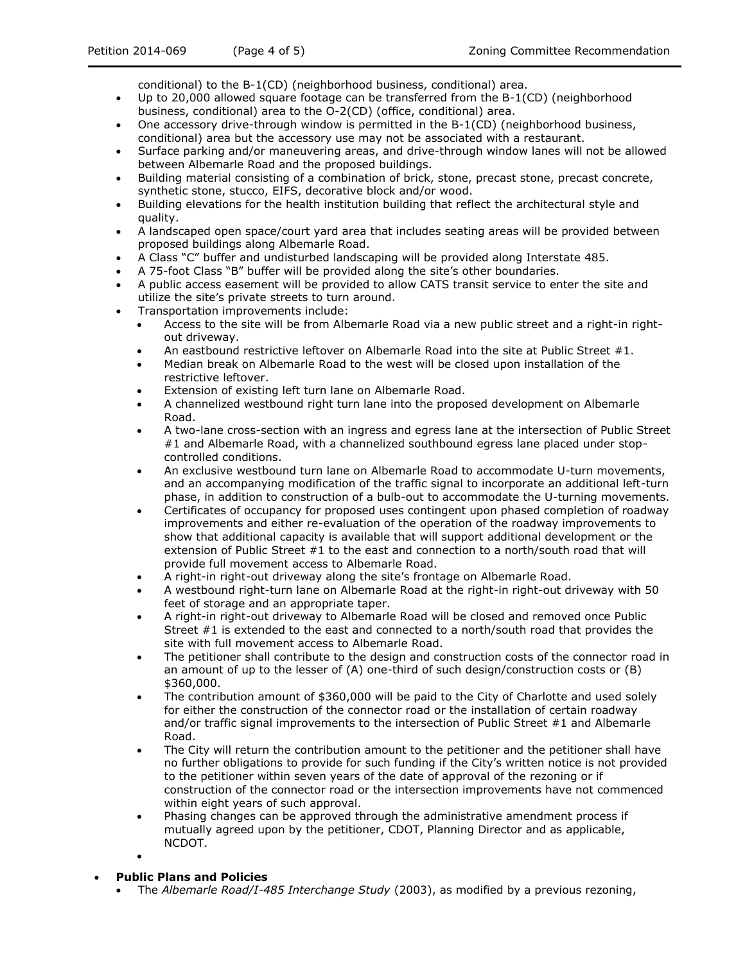- Up to 20,000 allowed square footage can be transferred from the B-1(CD) (neighborhood business, conditional) area to the O-2(CD) (office, conditional) area.
- One accessory drive-through window is permitted in the B-1(CD) (neighborhood business, conditional) area but the accessory use may not be associated with a restaurant.
- Surface parking and/or maneuvering areas, and drive-through window lanes will not be allowed between Albemarle Road and the proposed buildings.
- Building material consisting of a combination of brick, stone, precast stone, precast concrete, synthetic stone, stucco, EIFS, decorative block and/or wood.
- Building elevations for the health institution building that reflect the architectural style and quality.
- A landscaped open space/court yard area that includes seating areas will be provided between proposed buildings along Albemarle Road.
- A Class "C" buffer and undisturbed landscaping will be provided along Interstate 485.
- A 75-foot Class "B" buffer will be provided along the site's other boundaries.
- A public access easement will be provided to allow CATS transit service to enter the site and utilize the site's private streets to turn around.
- Transportation improvements include:
	- Access to the site will be from Albemarle Road via a new public street and a right-in rightout driveway.
	- An eastbound restrictive leftover on Albemarle Road into the site at Public Street #1.
	- Median break on Albemarle Road to the west will be closed upon installation of the restrictive leftover.
	- Extension of existing left turn lane on Albemarle Road.
	- A channelized westbound right turn lane into the proposed development on Albemarle Road.
	- A two-lane cross-section with an ingress and egress lane at the intersection of Public Street #1 and Albemarle Road, with a channelized southbound egress lane placed under stopcontrolled conditions.
	- An exclusive westbound turn lane on Albemarle Road to accommodate U-turn movements, and an accompanying modification of the traffic signal to incorporate an additional left-turn phase, in addition to construction of a bulb-out to accommodate the U-turning movements.
	- Certificates of occupancy for proposed uses contingent upon phased completion of roadway improvements and either re-evaluation of the operation of the roadway improvements to show that additional capacity is available that will support additional development or the extension of Public Street #1 to the east and connection to a north/south road that will provide full movement access to Albemarle Road.
	- A right-in right-out driveway along the site's frontage on Albemarle Road.
	- A westbound right-turn lane on Albemarle Road at the right-in right-out driveway with 50 feet of storage and an appropriate taper.
	- A right-in right-out driveway to Albemarle Road will be closed and removed once Public Street #1 is extended to the east and connected to a north/south road that provides the site with full movement access to Albemarle Road.
	- The petitioner shall contribute to the design and construction costs of the connector road in an amount of up to the lesser of (A) one-third of such design/construction costs or (B) \$360,000.
	- The contribution amount of \$360,000 will be paid to the City of Charlotte and used solely for either the construction of the connector road or the installation of certain roadway and/or traffic signal improvements to the intersection of Public Street #1 and Albemarle Road.
	- The City will return the contribution amount to the petitioner and the petitioner shall have no further obligations to provide for such funding if the City's written notice is not provided to the petitioner within seven years of the date of approval of the rezoning or if construction of the connector road or the intersection improvements have not commenced within eight years of such approval.
	- Phasing changes can be approved through the administrative amendment process if mutually agreed upon by the petitioner, CDOT, Planning Director and as applicable, NCDOT.
	- $\bullet$

## **Public Plans and Policies**

The *Albemarle Road/I-485 Interchange Study* (2003), as modified by a previous rezoning,